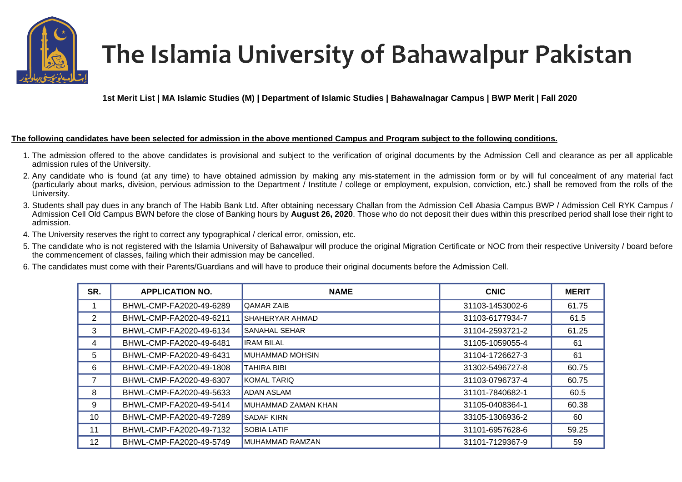

## The Islamia University of Bahawalpur Pakistan

**1st Merit List | MA Islamic Studies (M) | Department of Islamic Studies | Bahawalnagar Campus | BWP Merit | Fall 2020** 

## **The following candidates have been selected for admission in the above mentioned Campus and Program subject to the following conditions.**

- 1. The admission offered to the above candidates is provisional and subject to the verification of original documents by the Admission Cell and clearance as per all applicable admission rules of the University.
- 2. Any candidate who is found (at any time) to have obtained admission by making any mis-statement in the admission form or by will ful concealment of any material fact (particularly about marks, division, pervious admission to the Department / Institute / college or employment, expulsion, conviction, etc.) shall be removed from the rolls of the University.
- 3. Students shall pay dues in any branch of The Habib Bank Ltd. After obtaining necessary Challan from the Admission Cell Abasia Campus BWP / Admission Cell RYK Campus / Admission Cell Old Campus BWN before the close of Banking hours by **August 26, 2020**. Those who do not deposit their dues within this prescribed period shall lose their right to admission.
- 4. The University reserves the right to correct any typographical / clerical error, omission, etc.
- 5. The candidate who is not registered with the Islamia University of Bahawalpur will produce the original Migration Certificate or NOC from their respective University / board before the commencement of classes, failing which their admission may be cancelled.
- 6. The candidates must come with their Parents/Guardians and will have to produce their original documents before the Admission Cell.

| SR.            | <b>APPLICATION NO.</b>  | <b>NAME</b>            | <b>CNIC</b>     | <b>MERIT</b> |
|----------------|-------------------------|------------------------|-----------------|--------------|
|                | BHWL-CMP-FA2020-49-6289 | <b>QAMAR ZAIB</b>      | 31103-1453002-6 | 61.75        |
| $\overline{2}$ | BHWL-CMP-FA2020-49-6211 | <b>SHAHERYAR AHMAD</b> | 31103-6177934-7 | 61.5         |
| 3              | BHWL-CMP-FA2020-49-6134 | <b>SANAHAL SEHAR</b>   | 31104-2593721-2 | 61.25        |
| 4              | BHWL-CMP-FA2020-49-6481 | <b>IRAM BILAL</b>      | 31105-1059055-4 | 61           |
| 5              | BHWL-CMP-FA2020-49-6431 | <b>MUHAMMAD MOHSIN</b> | 31104-1726627-3 | 61           |
| 6              | BHWL-CMP-FA2020-49-1808 | <b>TAHIRA BIBI</b>     | 31302-5496727-8 | 60.75        |
|                | BHWL-CMP-FA2020-49-6307 | <b>KOMAL TARIQ</b>     | 31103-0796737-4 | 60.75        |
| 8              | BHWL-CMP-FA2020-49-5633 | <b>ADAN ASLAM</b>      | 31101-7840682-1 | 60.5         |
| 9              | BHWL-CMP-FA2020-49-5414 | MUHAMMAD ZAMAN KHAN    | 31105-0408364-1 | 60.38        |
| 10             | BHWL-CMP-FA2020-49-7289 | <b>SADAF KIRN</b>      | 33105-1306936-2 | 60           |
| 11             | BHWL-CMP-FA2020-49-7132 | <b>SOBIA LATIF</b>     | 31101-6957628-6 | 59.25        |
| 12             | BHWL-CMP-FA2020-49-5749 | MUHAMMAD RAMZAN        | 31101-7129367-9 | 59           |